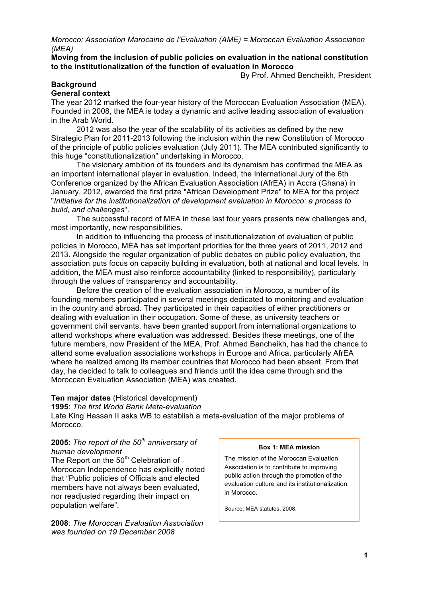*Morocco: Association Marocaine de l'Evaluation (AME) = Moroccan Evaluation Association (MEA)*

**Moving from the inclusion of public policies on evaluation in the national constitution to the institutionalization of the function of evaluation in Morocco**

By Prof. Ahmed Bencheikh, President

#### **Background General context**

The year 2012 marked the four-year history of the Moroccan Evaluation Association (MEA). Founded in 2008, the MEA is today a dynamic and active leading association of evaluation in the Arab World.

2012 was also the year of the scalability of its activities as defined by the new Strategic Plan for 2011-2013 following the inclusion within the new Constitution of Morocco of the principle of public policies evaluation (July 2011). The MEA contributed significantly to this huge "constitutionalization" undertaking in Morocco.

The visionary ambition of its founders and its dynamism has confirmed the MEA as an important international player in evaluation. Indeed, the International Jury of the 6th Conference organized by the African Evaluation Association (AfrEA) in Accra (Ghana) in January, 2012, awarded the first prize "African Development Prize" to MEA for the project "*Initiative for the institutionalization of development evaluation in Morocco: a process to build, and challenges*".

The successful record of MEA in these last four years presents new challenges and, most importantly, new responsibilities.

In addition to influencing the process of institutionalization of evaluation of public policies in Morocco, MEA has set important priorities for the three years of 2011, 2012 and 2013. Alongside the regular organization of public debates on public policy evaluation, the association puts focus on capacity building in evaluation, both at national and local levels. In addition, the MEA must also reinforce accountability (linked to responsibility), particularly through the values of transparency and accountability.

Before the creation of the evaluation association in Morocco, a number of its founding members participated in several meetings dedicated to monitoring and evaluation in the country and abroad. They participated in their capacities of either practitioners or dealing with evaluation in their occupation. Some of these, as university teachers or government civil servants, have been granted support from international organizations to attend workshops where evaluation was addressed. Besides these meetings, one of the future members, now President of the MEA, Prof. Ahmed Bencheikh, has had the chance to attend some evaluation associations workshops in Europe and Africa, particularly AfrEA where he realized among its member countries that Morocco had been absent. From that day, he decided to talk to colleagues and friends until the idea came through and the Moroccan Evaluation Association (MEA) was created.

# **Ten major dates** (Historical development)

**1995**: *The first World Bank Meta-evaluation*

Late King Hassan II asks WB to establish a meta-evaluation of the major problems of Morocco.

#### **2005**: *The report of the 50th anniversary of human development*

The Report on the  $50<sup>th</sup>$  Celebration of Moroccan Independence has explicitly noted that "Public policies of Officials and elected members have not always been evaluated, nor readjusted regarding their impact on population welfare".

**2008**: *The Moroccan Evaluation Association was founded on 19 December 2008*

#### **Box 1: MEA mission**

The mission of the Moroccan Evaluation Association is to contribute to improving public action through the promotion of the evaluation culture and its institutionalization in Morocco.

Source: MEA statutes, 2008.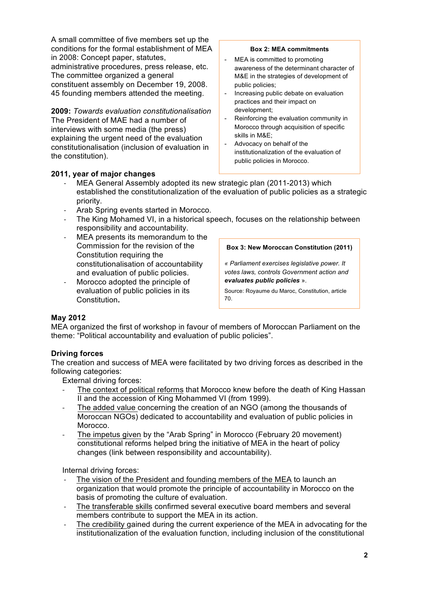A small committee of five members set up the conditions for the formal establishment of MEA in 2008: Concept paper, statutes, administrative procedures, press release, etc. The committee organized a general

constituent assembly on December 19, 2008. 45 founding members attended the meeting.

**2009:** *Towards evaluation constitutionalisation* The President of MAE had a number of interviews with some media (the press) explaining the urgent need of the evaluation constitutionalisation (inclusion of evaluation in the constitution).

#### **Box 2: MEA commitments**

- MEA is committed to promoting awareness of the determinant character of M&E in the strategies of development of public policies;
- Increasing public debate on evaluation practices and their impact on development;
- Reinforcing the evaluation community in Morocco through acquisition of specific skills in M&E;
- Advocacy on behalf of the institutionalization of the evaluation of public policies in Morocco.

<u>Source : MEA statues, 2008.</u>

### **2011, year of major changes**

- ! MEA General Assembly adopted its new strategic plan (2011-2013) which established the constitutionalization of the evaluation of public policies as a strategic priority.
- ! Arab Spring events started in Morocco.
- ! The King Mohamed VI, in a historical speech, focuses on the relationship between responsibility and accountability.
- MEA presents its memorandum to the Commission for the revision of the Constitution requiring the constitutionalisation of accountability and evaluation of public policies.
- Morocco adopted the principle of evaluation of public policies in its Constitution**.**

**Box 3: New Moroccan Constitution (2011)**

*« Parliament exercises legislative power. It votes laws, controls Government action and evaluates public policies* ».

Source: Royaume du Maroc, Constitution, article 70.

### **May 2012**

MEA organized the first of workshop in favour of members of Moroccan Parliament on the theme: "Political accountability and evaluation of public policies".

### **Driving forces**

The creation and success of MEA were facilitated by two driving forces as described in the following categories:

External driving forces:

- ! The context of political reforms that Morocco knew before the death of King Hassan II and the accession of King Mohammed VI (from 1999).
- The added value concerning the creation of an NGO (among the thousands of Moroccan NGOs) dedicated to accountability and evaluation of public policies in Morocco.
- ! The impetus given by the "Arab Spring" in Morocco (February 20 movement) constitutional reforms helped bring the initiative of MEA in the heart of policy changes (link between responsibility and accountability).

Internal driving forces:

- The vision of the President and founding members of the MEA to launch an organization that would promote the principle of accountability in Morocco on the basis of promoting the culture of evaluation.
- ! The transferable skills confirmed several executive board members and several members contribute to support the MEA in its action.
- ! The credibility gained during the current experience of the MEA in advocating for the institutionalization of the evaluation function, including inclusion of the constitutional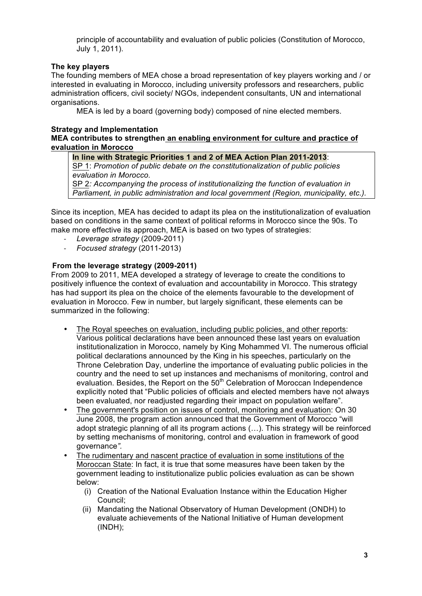principle of accountability and evaluation of public policies (Constitution of Morocco, July 1, 2011).

### **The key players**

The founding members of MEA chose a broad representation of key players working and / or interested in evaluating in Morocco, including university professors and researchers, public administration officers, civil society/ NGOs, independent consultants, UN and international organisations.

MEA is led by a board (governing body) composed of nine elected members.

#### **Strategy and Implementation**

**MEA contributes to strengthen an enabling environment for culture and practice of evaluation in Morocco**

**In line with Strategic Priorities 1 and 2 of MEA Action Plan 2011-2013**: SP 1: *Promotion of public debate on the constitutionalization of public policies evaluation in Morocco.*

SP 2*: Accompanying the process of institutionalizing the function of evaluation in Parliament, in public administration and local government (Region, municipality, etc.).*

Since its inception, MEA has decided to adapt its plea on the institutionalization of evaluation based on conditions in the same context of political reforms in Morocco since the 90s. To make more effective its approach, MEA is based on two types of strategies:

- ! *Leverage strategy* (2009-2011)
- ! *Focused strategy* (2011-2013)

### **From the leverage strategy (2009-2011)**

From 2009 to 2011, MEA developed a strategy of leverage to create the conditions to positively influence the context of evaluation and accountability in Morocco. This strategy has had support its plea on the choice of the elements favourable to the development of evaluation in Morocco. Few in number, but largely significant, these elements can be summarized in the following:

- The Royal speeches on evaluation, including public policies, and other reports: Various political declarations have been announced these last years on evaluation institutionalization in Morocco, namely by King Mohammed VI. The numerous official political declarations announced by the King in his speeches, particularly on the Throne Celebration Day, underline the importance of evaluating public policies in the country and the need to set up instances and mechanisms of monitoring, control and evaluation. Besides, the Report on the 50<sup>th</sup> Celebration of Moroccan Independence explicitly noted that "Public policies of officials and elected members have not always been evaluated, nor readjusted regarding their impact on population welfare".
- The government's position on issues of control, monitoring and evaluation: On 30 June 2008, the program action announced that the Government of Morocco "will adopt strategic planning of all its program actions (…). This strategy will be reinforced by setting mechanisms of monitoring, control and evaluation in framework of good governance*".*
- The rudimentary and nascent practice of evaluation in some institutions of the Moroccan State: In fact, it is true that some measures have been taken by the government leading to institutionalize public policies evaluation as can be shown below:
	- (i) Creation of the National Evaluation Instance within the Education Higher Council;
	- (ii) Mandating the National Observatory of Human Development (ONDH) to evaluate achievements of the National Initiative of Human development (INDH);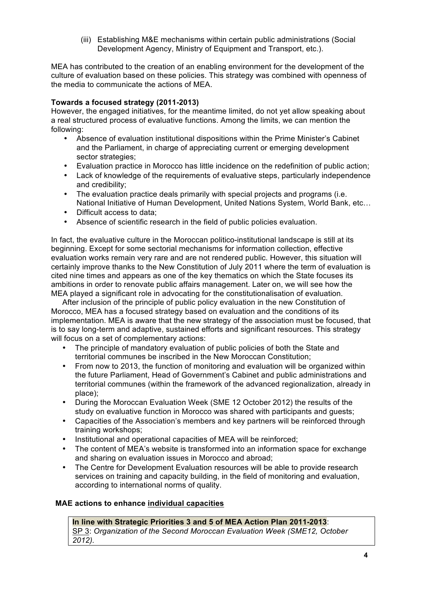(iii) Establishing M&E mechanisms within certain public administrations (Social Development Agency, Ministry of Equipment and Transport, etc.).

MEA has contributed to the creation of an enabling environment for the development of the culture of evaluation based on these policies. This strategy was combined with openness of the media to communicate the actions of MEA.

# **Towards a focused strategy (2011-2013)**

However, the engaged initiatives, for the meantime limited, do not yet allow speaking about a real structured process of evaluative functions. Among the limits, we can mention the following:

- Absence of evaluation institutional dispositions within the Prime Minister's Cabinet and the Parliament, in charge of appreciating current or emerging development sector strategies;
- Evaluation practice in Morocco has little incidence on the redefinition of public action;
- Lack of knowledge of the requirements of evaluative steps, particularly independence and credibility;
- The evaluation practice deals primarily with special projects and programs (i.e. National Initiative of Human Development, United Nations System, World Bank, etc…
- Difficult access to data;
- Absence of scientific research in the field of public policies evaluation.

In fact, the evaluative culture in the Moroccan politico-institutional landscape is still at its beginning. Except for some sectorial mechanisms for information collection, effective evaluation works remain very rare and are not rendered public. However, this situation will certainly improve thanks to the New Constitution of July 2011 where the term of evaluation is cited nine times and appears as one of the key thematics on which the State focuses its ambitions in order to renovate public affairs management. Later on, we will see how the MEA played a significant role in advocating for the constitutionalisation of evaluation.

After inclusion of the principle of public policy evaluation in the new Constitution of Morocco, MEA has a focused strategy based on evaluation and the conditions of its implementation. MEA is aware that the new strategy of the association must be focused, that is to say long-term and adaptive, sustained efforts and significant resources. This strategy will focus on a set of complementary actions:

- The principle of mandatory evaluation of public policies of both the State and territorial communes be inscribed in the New Moroccan Constitution;
- From now to 2013, the function of monitoring and evaluation will be organized within the future Parliament, Head of Government's Cabinet and public administrations and territorial communes (within the framework of the advanced regionalization, already in place);
- During the Moroccan Evaluation Week (SME 12 October 2012) the results of the study on evaluative function in Morocco was shared with participants and guests;
- Capacities of the Association's members and key partners will be reinforced through training workshops;
- Institutional and operational capacities of MEA will be reinforced;
- The content of MEA's website is transformed into an information space for exchange and sharing on evaluation issues in Morocco and abroad;
- The Centre for Development Evaluation resources will be able to provide research services on training and capacity building, in the field of monitoring and evaluation, according to international norms of quality.

### **MAE actions to enhance individual capacities**

#### **In line with Strategic Priorities 3 and 5 of MEA Action Plan 2011-2013**: SP 3: *Organization of the Second Moroccan Evaluation Week (SME12, October 2012).*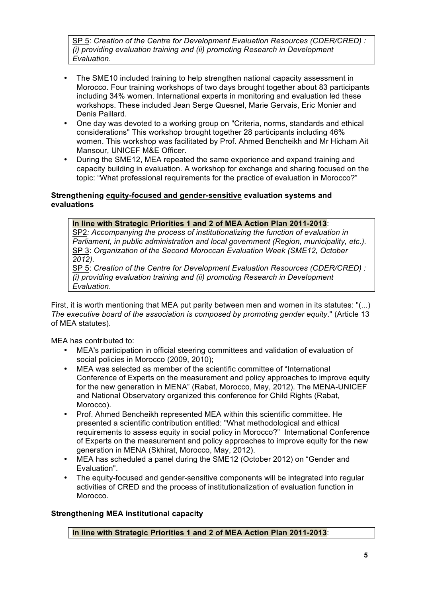SP 5: *Creation of the Centre for Development Evaluation Resources (CDER/CRED) : (i) providing evaluation training and (ii) promoting Research in Development Evaluation*.

- The SME10 included training to help strengthen national capacity assessment in Morocco. Four training workshops of two days brought together about 83 participants including 34% women. International experts in monitoring and evaluation led these workshops. These included Jean Serge Quesnel, Marie Gervais, Eric Monier and Denis Paillard.
- One day was devoted to a working group on "Criteria, norms, standards and ethical considerations" This workshop brought together 28 participants including 46% women. This workshop was facilitated by Prof. Ahmed Bencheikh and Mr Hicham Ait Mansour, UNICEF M&E Officer.
- During the SME12, MEA repeated the same experience and expand training and capacity building in evaluation. A workshop for exchange and sharing focused on the topic: "What professional requirements for the practice of evaluation in Morocco?"

### **Strengthening equity-focused and gender-sensitive evaluation systems and evaluations**

**In line with Strategic Priorities 1 and 2 of MEA Action Plan 2011-2013**:

SP2*: Accompanying the process of institutionalizing the function of evaluation in Parliament, in public administration and local government (Region, municipality, etc.).* SP 3: *Organization of the Second Moroccan Evaluation Week (SME12, October 2012).*

SP 5: *Creation of the Centre for Development Evaluation Resources (CDER/CRED) : (i) providing evaluation training and (ii) promoting Research in Development Evaluation*.

First, it is worth mentioning that MEA put parity between men and women in its statutes: "(...) *The executive board of the association is composed by promoting gender equity*." (Article 13 of MEA statutes).

MEA has contributed to:

- MEA's participation in official steering committees and validation of evaluation of social policies in Morocco (2009, 2010);
- MEA was selected as member of the scientific committee of "International Conference of Experts on the measurement and policy approaches to improve equity for the new generation in MENA" (Rabat, Morocco, May, 2012). The MENA-UNICEF and National Observatory organized this conference for Child Rights (Rabat, Morocco).
- Prof. Ahmed Bencheikh represented MEA within this scientific committee. He presented a scientific contribution entitled: "What methodological and ethical requirements to assess equity in social policy in Morocco?" International Conference of Experts on the measurement and policy approaches to improve equity for the new generation in MENA (Skhirat, Morocco, May, 2012).
- MEA has scheduled a panel during the SME12 (October 2012) on "Gender and Evaluation".
- The equity-focused and gender-sensitive components will be integrated into regular activities of CRED and the process of institutionalization of evaluation function in Morocco.

# **Strengthening MEA institutional capacity**

**In line with Strategic Priorities 1 and 2 of MEA Action Plan 2011-2013**: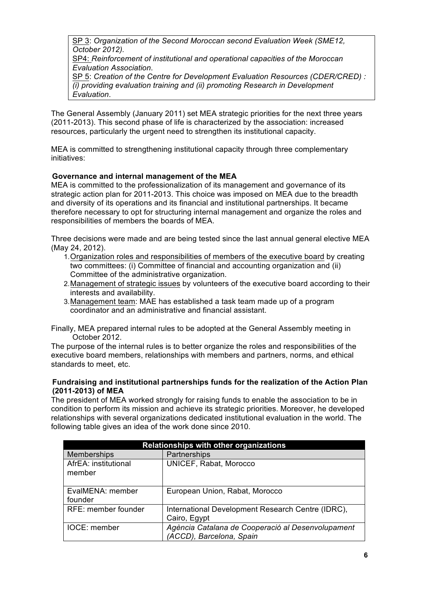SP 3: *Organization of the Second Moroccan second Evaluation Week (SME12, October 2012).*

SP4: *Reinforcement of institutional and operational capacities of the Moroccan Evaluation Association*.

SP 5: *Creation of the Centre for Development Evaluation Resources (CDER/CRED) : (i) providing evaluation training and (ii) promoting Research in Development Evaluation*.

The General Assembly (January 2011) set MEA strategic priorities for the next three years (2011-2013). This second phase of life is characterized by the association: increased resources, particularly the urgent need to strengthen its institutional capacity.

MEA is committed to strengthening institutional capacity through three complementary initiatives:

# **Governance and internal management of the MEA**

MEA is committed to the professionalization of its management and governance of its strategic action plan for 2011-2013. This choice was imposed on MEA due to the breadth and diversity of its operations and its financial and institutional partnerships. It became therefore necessary to opt for structuring internal management and organize the roles and responsibilities of members the boards of MEA.

Three decisions were made and are being tested since the last annual general elective MEA (May 24, 2012).

- 1.Organization roles and responsibilities of members of the executive board by creating two committees: (i) Committee of financial and accounting organization and (ii) Committee of the administrative organization.
- 2.Management of strategic issues by volunteers of the executive board according to their interests and availability.
- 3.Management team: MAE has established a task team made up of a program coordinator and an administrative and financial assistant.

Finally, MEA prepared internal rules to be adopted at the General Assembly meeting in October 2012.

The purpose of the internal rules is to better organize the roles and responsibilities of the executive board members, relationships with members and partners, norms, and ethical standards to meet, etc.

#### **Fundraising and institutional partnerships funds for the realization of the Action Plan (2011-2013) of MEA**

The president of MEA worked strongly for raising funds to enable the association to be in condition to perform its mission and achieve its strategic priorities. Moreover, he developed relationships with several organizations dedicated institutional evaluation in the world. The following table gives an idea of the work done since 2010.

| Relationships with other organizations |                                                                               |
|----------------------------------------|-------------------------------------------------------------------------------|
| <b>Memberships</b>                     | Partnerships                                                                  |
| AfrEA: institutional<br>member         | UNICEF, Rabat, Morocco                                                        |
| EvalMENA: member<br>founder            | European Union, Rabat, Morocco                                                |
| RFE: member founder                    | International Development Research Centre (IDRC),<br>Cairo, Egypt             |
| IOCE: member                           | Agència Catalana de Cooperació al Desenvolupament<br>(ACCD), Barcelona, Spain |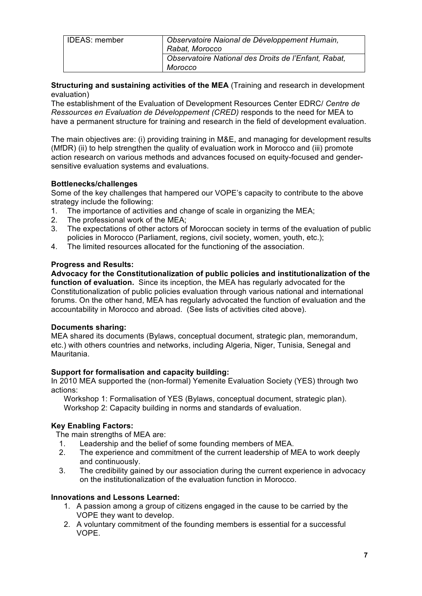| <b>IDEAS: member</b> | Observatoire Naional de Développement Humain,        |
|----------------------|------------------------------------------------------|
|                      | Rabat, Morocco                                       |
|                      | Observatoire National des Droits de l'Enfant, Rabat, |
|                      | Morocco                                              |

### **Structuring and sustaining activities of the MEA** (Training and research in development evaluation)

The establishment of the Evaluation of Development Resources Center EDRC/ *Centre de Ressources en Evaluation de Développement (CRED)* responds to the need for MEA to have a permanent structure for training and research in the field of development evaluation.

The main objectives are: (i) providing training in M&E, and managing for development results (MfDR) (ii) to help strengthen the quality of evaluation work in Morocco and (iii) promote action research on various methods and advances focused on equity-focused and gendersensitive evaluation systems and evaluations.

# **Bottlenecks/challenges**

Some of the key challenges that hampered our VOPE's capacity to contribute to the above strategy include the following:

- 1. The importance of activities and change of scale in organizing the MEA;
- 2. The professional work of the MEA;
- 3. The expectations of other actors of Moroccan society in terms of the evaluation of public policies in Morocco (Parliament, regions, civil society, women, youth, etc.);
- 4. The limited resources allocated for the functioning of the association.

# **Progress and Results:**

**Advocacy for the Constitutionalization of public policies and institutionalization of the function of evaluation.** Since its inception, the MEA has regularly advocated for the Constitutionalization of public policies evaluation through various national and international forums. On the other hand, MEA has regularly advocated the function of evaluation and the accountability in Morocco and abroad. (See lists of activities cited above).

### **Documents sharing:**

MEA shared its documents (Bylaws, conceptual document, strategic plan, memorandum, etc.) with others countries and networks, including Algeria, Niger, Tunisia, Senegal and Mauritania.

# **Support for formalisation and capacity building:**

In 2010 MEA supported the (non-formal) Yemenite Evaluation Society (YES) through two actions:

Workshop 1: Formalisation of YES (Bylaws, conceptual document, strategic plan). Workshop 2: Capacity building in norms and standards of evaluation.

# **Key Enabling Factors:**

The main strengths of MEA are:

- 1. Leadership and the belief of some founding members of MEA.
- 2. The experience and commitment of the current leadership of MEA to work deeply and continuously.
- 3. The credibility gained by our association during the current experience in advocacy on the institutionalization of the evaluation function in Morocco.

### **Innovations and Lessons Learned:**

- 1. A passion among a group of citizens engaged in the cause to be carried by the VOPE they want to develop.
- 2. A voluntary commitment of the founding members is essential for a successful VOPE.